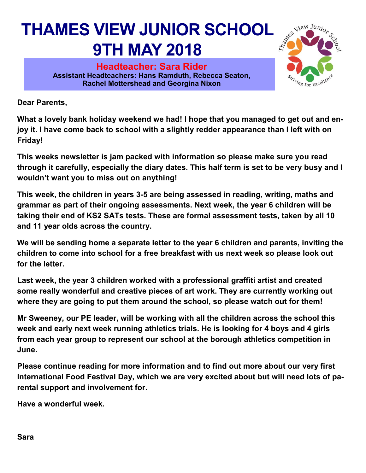#### **THAMES VIEW JUNIOR SCHOOL 9TH MAY 2018**

**Headteacher: Sara Rider Assistant Headteachers: Hans Ramduth, Rebecca Seaton, Rachel Mottershead and Georgina Nixon** 



**Dear Parents,** 

**What a lovely bank holiday weekend we had! I hope that you managed to get out and enjoy it. I have come back to school with a slightly redder appearance than I left with on Friday!** 

**This weeks newsletter is jam packed with information so please make sure you read through it carefully, especially the diary dates. This half term is set to be very busy and I wouldn't want you to miss out on anything!**

**This week, the children in years 3-5 are being assessed in reading, writing, maths and grammar as part of their ongoing assessments. Next week, the year 6 children will be taking their end of KS2 SATs tests. These are formal assessment tests, taken by all 10 and 11 year olds across the country.** 

**We will be sending home a separate letter to the year 6 children and parents, inviting the children to come into school for a free breakfast with us next week so please look out for the letter.** 

**Last week, the year 3 children worked with a professional graffiti artist and created some really wonderful and creative pieces of art work. They are currently working out where they are going to put them around the school, so please watch out for them!**

**Mr Sweeney, our PE leader, will be working with all the children across the school this week and early next week running athletics trials. He is looking for 4 boys and 4 girls from each year group to represent our school at the borough athletics competition in June.** 

**Please continue reading for more information and to find out more about our very first International Food Festival Day, which we are very excited about but will need lots of parental support and involvement for.** 

**Have a wonderful week.**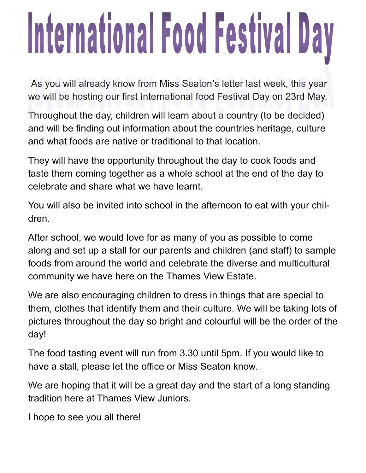## International Food Festival Day

As you will already know from Miss Seaton's letter last week, this year we will be hosting our first International food Festival Day on 23rd May.

Throughout the day, children will learn about a country (to be decided) and will be finding out information about the countries heritage, culture and what foods are native or traditional to that location.

They will have the opportunity throughout the day to cook foods and taste them coming together as a whole school at the end of the day to celebrate and share what we have learnt.

You will also be invited into school in the afternoon to eat with your children.

After school, we would love for as many of you as possible to come along and set up a stall for our parents and children (and staff) to sample foods from around the world and celebrate the diverse and multicultural community we have here on the Thames View Estate.

We are also encouraging children to dress in things that are special to them, clothes that identify them and their culture. We will be taking lots of pictures throughout the day so bright and colourful will be the order of the day!

The food tasting event will run from 3.30 until 5pm. If you would like to have a stall, please let the office or Miss Seaton know.

We are hoping that it will be a great day and the start of a long standing tradition here at Thames View Juniors.

I hope to see you all there!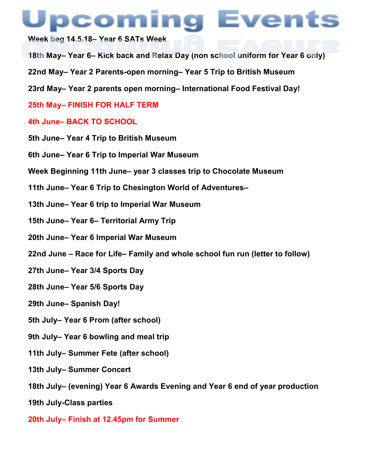### pcoming Events

**Week beg 14.5.18– Year 6 SATs Week**

- **18th May– Year 6– Kick back and Relax Day (non school uniform for Year 6 only)**
- **22nd May– Year 2 Parents-open morning– Year 5 Trip to British Museum**
- **23rd May– Year 2 parents open morning– International Food Festival Day!**
- **25th May– FINISH FOR HALF TERM**

#### **4th June– BACK TO SCHOOL**

- **5th June– Year 4 Trip to British Museum**
- **6th June– Year 6 Trip to Imperial War Museum**
- **Week Beginning 11th June– year 3 classes trip to Chocolate Museum**
- **11th June– Year 6 Trip to Chesington World of Adventures–**
- **13th June– Year 6 trip to Imperial War Museum**
- **15th June– Year 6– Territorial Army Trip**
- **20th June– Year 6 Imperial War Museum**
- **22nd June – Race for Life– Family and whole school fun run (letter to follow)**
- **27th June– Year 3/4 Sports Day**
- **28th June– Year 5/6 Sports Day**
- **29th June– Spanish Day!**
- **5th July– Year 6 Prom (after school)**
- **9th July– Year 6 bowling and meal trip**
- **11th July– Summer Fete (after school)**
- **13th July– Summer Concert**
- **18th July– (evening) Year 6 Awards Evening and Year 6 end of year production**
- **19th July-Class parties**
- **20th July– Finish at 12.45pm for Summer**